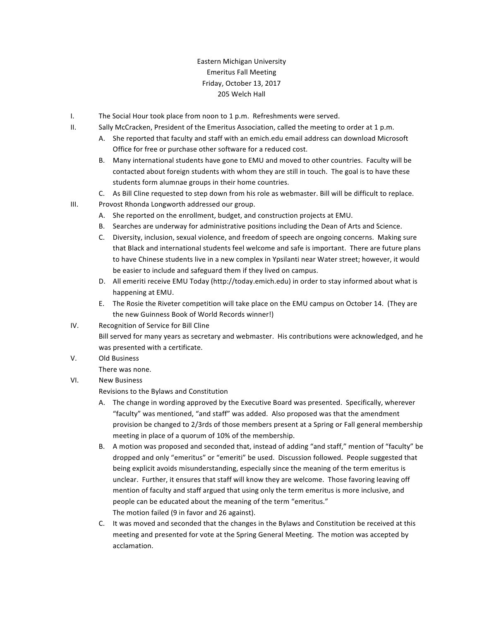## Eastern Michigan University Emeritus Fall Meeting Friday, October 13, 2017 205 Welch Hall

- I. The Social Hour took place from noon to 1 p.m. Refreshments were served.
- II. Sally McCracken, President of the Emeritus Association, called the meeting to order at 1 p.m.
	- A. She reported that faculty and staff with an emich.edu email address can download Microsoft Office for free or purchase other software for a reduced cost.
	- B. Many international students have gone to EMU and moved to other countries. Faculty will be contacted about foreign students with whom they are still in touch. The goal is to have these students form alumnae groups in their home countries.
	- C. As Bill Cline requested to step down from his role as webmaster. Bill will be difficult to replace.
- III. Provost Rhonda Longworth addressed our group.
	- A. She reported on the enrollment, budget, and construction projects at EMU.
	- B. Searches are underway for administrative positions including the Dean of Arts and Science.
	- C. Diversity, inclusion, sexual violence, and freedom of speech are ongoing concerns. Making sure that Black and international students feel welcome and safe is important. There are future plans to have Chinese students live in a new complex in Ypsilanti near Water street; however, it would be easier to include and safeguard them if they lived on campus.
	- D. All emeriti receive EMU Today (http://today.emich.edu) in order to stay informed about what is happening at EMU.
	- E. The Rosie the Riveter competition will take place on the EMU campus on October 14. (They are the new Guinness Book of World Records winner!)
- IV. Recognition of Service for Bill Cline

Bill served for many years as secretary and webmaster. His contributions were acknowledged, and he was presented with a certificate.

- V. Old Business
	- There was none.
- VI. New Business

Revisions to the Bylaws and Constitution

- A. The change in wording approved by the Executive Board was presented. Specifically, wherever "faculty" was mentioned, "and staff" was added. Also proposed was that the amendment provision be changed to 2/3rds of those members present at a Spring or Fall general membership meeting in place of a quorum of 10% of the membership.
- B. A motion was proposed and seconded that, instead of adding "and staff," mention of "faculty" be dropped and only "emeritus" or "emeriti" be used. Discussion followed. People suggested that being explicit avoids misunderstanding, especially since the meaning of the term emeritus is unclear. Further, it ensures that staff will know they are welcome. Those favoring leaving off mention of faculty and staff argued that using only the term emeritus is more inclusive, and people can be educated about the meaning of the term "emeritus." The motion failed (9 in favor and 26 against).
- C. It was moved and seconded that the changes in the Bylaws and Constitution be received at this meeting and presented for vote at the Spring General Meeting. The motion was accepted by acclamation.